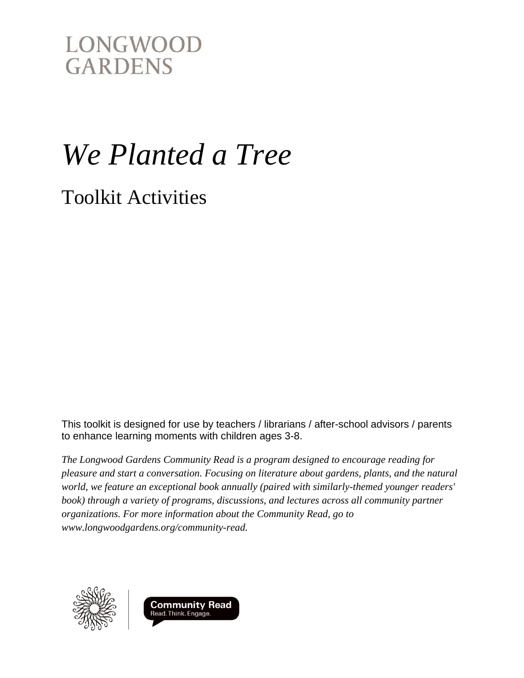# *We Planted a Tree*

Toolkit Activities

This toolkit is designed for use by teachers / librarians / after-school advisors / parents to enhance learning moments with children ages 3-8.

*The Longwood Gardens Community Read is a program designed to encourage reading for pleasure and start a conversation. Focusing on literature about gardens, plants, and the natural world, we feature an exceptional book annually (paired with similarly-themed younger readers'*  book) through a variety of programs, discussions, and lectures across all community partner *organizations. For more information about the Community Read, go to www.longwoodgardens.org/community-read.*



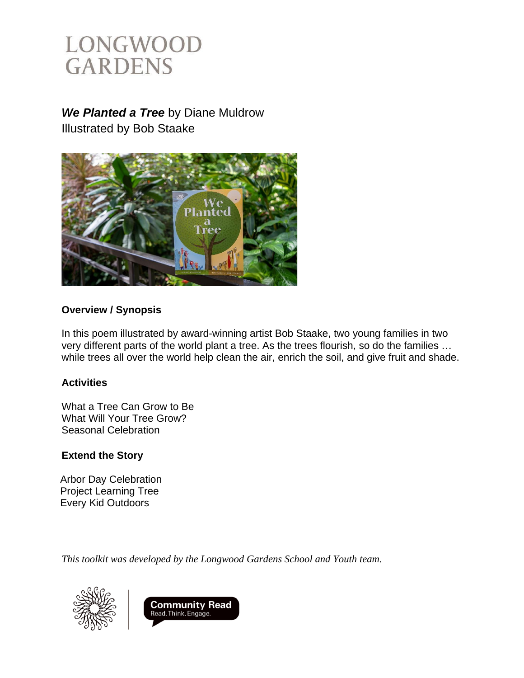### *We Planted a Tree* by Diane Muldrow

Illustrated by Bob Staake



### **Overview / Synopsis**

In this poem illustrated by award-winning artist Bob Staake, two young families in two very different parts of the world plant a tree. As the trees flourish, so do the families … while trees all over the world help clean the air, enrich the soil, and give fruit and shade.

### **Activities**

What a Tree Can Grow to Be What Will Your Tree Grow? Seasonal Celebration

### **Extend the Story**

Arbor Day Celebration Project Learning Tree Every Kid Outdoors

*This toolkit was developed by the Longwood Gardens School and Youth team.* 



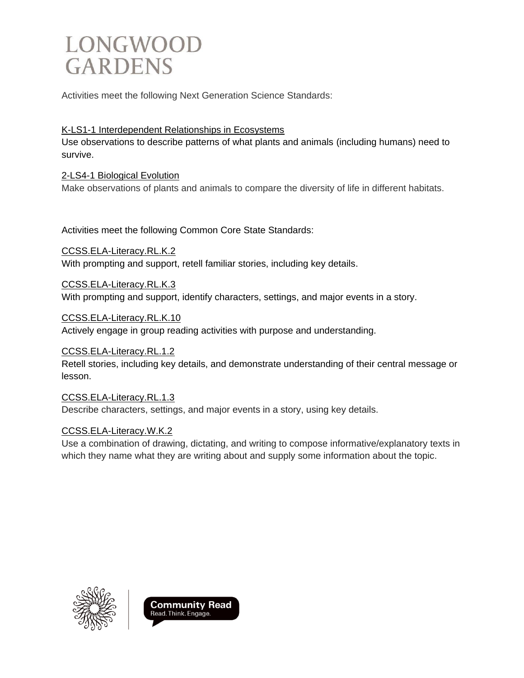Activities meet the following Next Generation Science Standards:

#### K-LS1-1 Interdependent Relationships in Ecosystems

Use observations to describe patterns of what plants and animals (including humans) need to survive.

### 2-LS4-1 Biological Evolution

Make observations of plants and animals to compare the diversity of life in different habitats.

Activities meet the following Common Core State Standards:

CCSS.ELA-Literacy.RL.K.2 With prompting and support, retell familiar stories, including key details.

#### CCSS.ELA-Literacy.RL.K.3

With prompting and support, identify characters, settings, and major events in a story.

CCSS.ELA-Literacy.RL.K.10

Actively engage in group reading activities with purpose and understanding.

### CCSS.ELA-Literacy.RL.1.2

Retell stories, including key details, and demonstrate understanding of their central message or lesson.

#### CCSS.ELA-Literacy.RL.1.3 Describe characters, settings, and major events in a story, using key details.

#### CCSS.ELA-Literacy.W.K.2

Use a combination of drawing, dictating, and writing to compose informative/explanatory texts in which they name what they are writing about and supply some information about the topic.



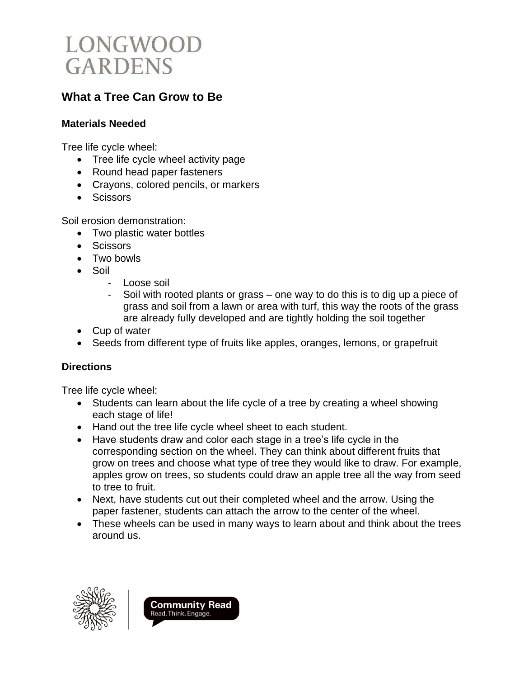

### **What a Tree Can Grow to Be**

#### **Materials Needed**

Tree life cycle wheel:

- Tree life cycle wheel activity page
- Round head paper fasteners
- Crayons, colored pencils, or markers
- Scissors

Soil erosion demonstration:

- Two plastic water bottles
- Scissors
- Two bowls
- Soil
	- Loose soil
	- Soil with rooted plants or grass one way to do this is to dig up a piece of grass and soil from a lawn or area with turf, this way the roots of the grass are already fully developed and are tightly holding the soil together
- Cup of water
- Seeds from different type of fruits like apples, oranges, lemons, or grapefruit

### **Directions**

Tree life cycle wheel:

- Students can learn about the life cycle of a tree by creating a wheel showing each stage of life!
- Hand out the tree life cycle wheel sheet to each student.
- Have students draw and color each stage in a tree's life cycle in the corresponding section on the wheel. They can think about different fruits that grow on trees and choose what type of tree they would like to draw. For example, apples grow on trees, so students could draw an apple tree all the way from seed to tree to fruit.
- Next, have students cut out their completed wheel and the arrow. Using the paper fastener, students can attach the arrow to the center of the wheel.
- These wheels can be used in many ways to learn about and think about the trees around us.



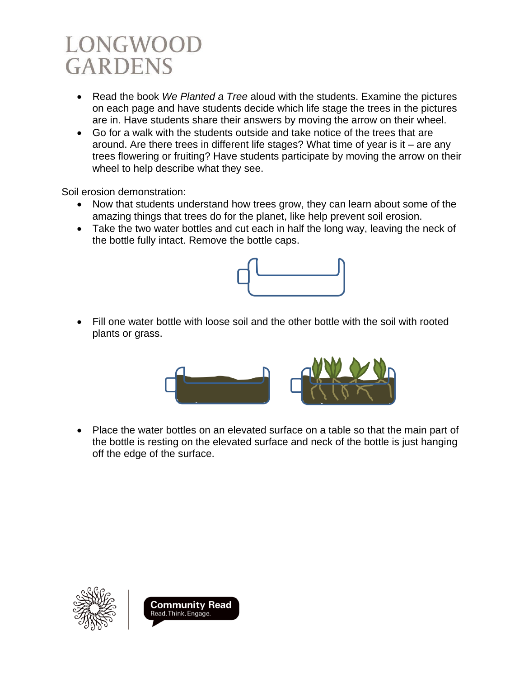- Read the book *We Planted a Tree* aloud with the students. Examine the pictures on each page and have students decide which life stage the trees in the pictures are in. Have students share their answers by moving the arrow on their wheel.
- Go for a walk with the students outside and take notice of the trees that are around. Are there trees in different life stages? What time of year is it – are any trees flowering or fruiting? Have students participate by moving the arrow on their wheel to help describe what they see.

Soil erosion demonstration:

- Now that students understand how trees grow, they can learn about some of the amazing things that trees do for the planet, like help prevent soil erosion.
- Take the two water bottles and cut each in half the long way, leaving the neck of the bottle fully intact. Remove the bottle caps.



• Fill one water bottle with loose soil and the other bottle with the soil with rooted plants or grass.



• Place the water bottles on an elevated surface on a table so that the main part of the bottle is resting on the elevated surface and neck of the bottle is just hanging off the edge of the surface.



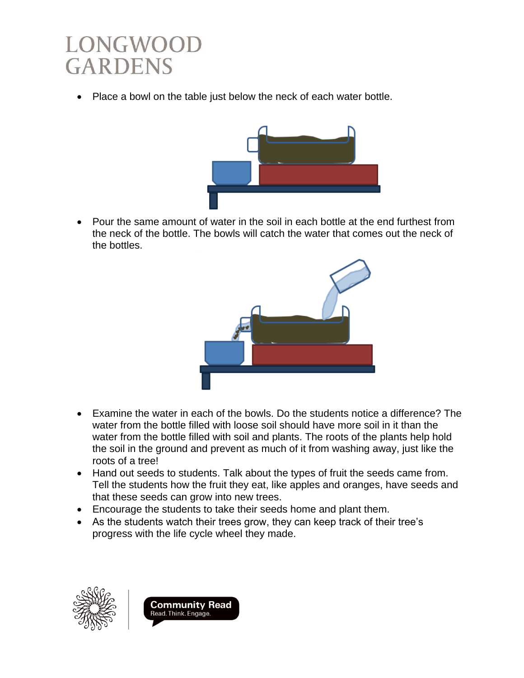• Place a bowl on the table just below the neck of each water bottle.



• Pour the same amount of water in the soil in each bottle at the end furthest from the neck of the bottle. The bowls will catch the water that comes out the neck of the bottles.



- Examine the water in each of the bowls. Do the students notice a difference? The water from the bottle filled with loose soil should have more soil in it than the water from the bottle filled with soil and plants. The roots of the plants help hold the soil in the ground and prevent as much of it from washing away, just like the roots of a tree!
- Hand out seeds to students. Talk about the types of fruit the seeds came from. Tell the students how the fruit they eat, like apples and oranges, have seeds and that these seeds can grow into new trees.
- Encourage the students to take their seeds home and plant them.
- As the students watch their trees grow, they can keep track of their tree's progress with the life cycle wheel they made.



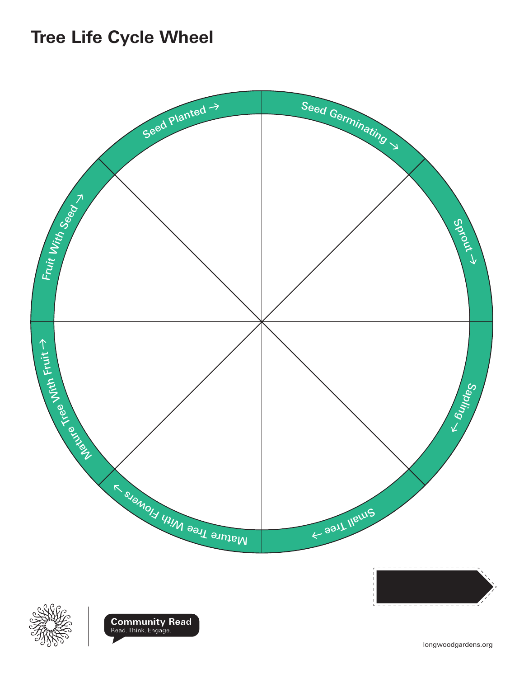### **Tree Life Cycle Wheel**



longwoodgardens.org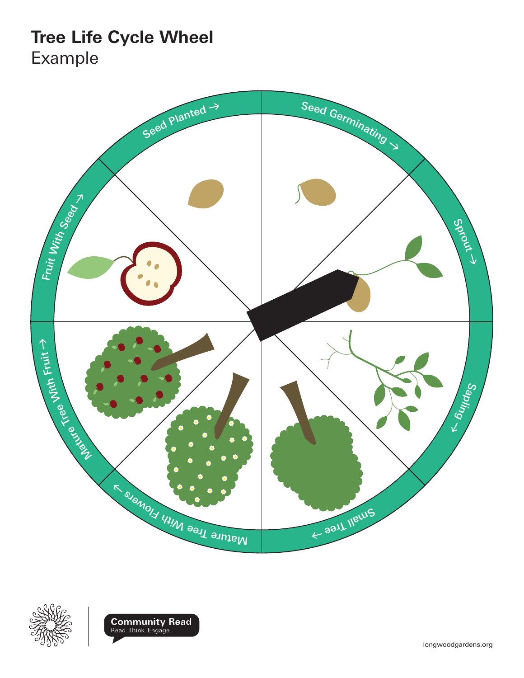### **Tree Life Cycle Wheel** Example







longwoodgardens.org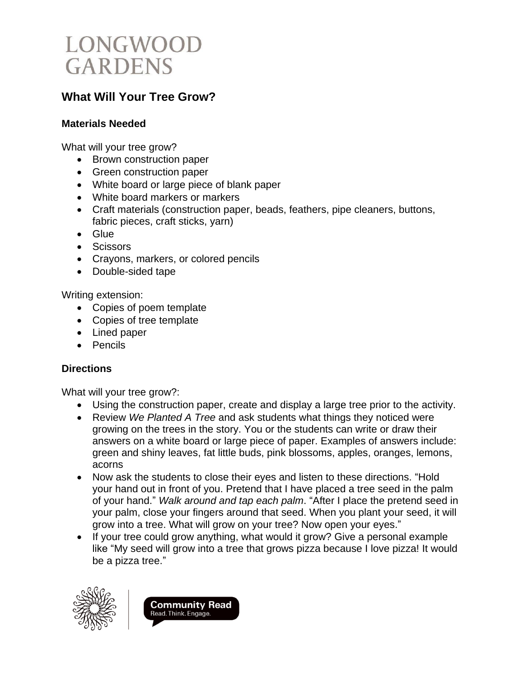

### **What Will Your Tree Grow?**

#### **Materials Needed**

What will your tree grow?

- Brown construction paper
- Green construction paper
- White board or large piece of blank paper
- White board markers or markers
- Craft materials (construction paper, beads, feathers, pipe cleaners, buttons, fabric pieces, craft sticks, yarn)
- Glue
- Scissors
- Crayons, markers, or colored pencils
- Double-sided tape

Writing extension:

- Copies of poem template
- Copies of tree template
- Lined paper
- Pencils

### **Directions**

What will your tree grow?:

- Using the construction paper, create and display a large tree prior to the activity.
- Review *We Planted A Tree* and ask students what things they noticed were growing on the trees in the story. You or the students can write or draw their answers on a white board or large piece of paper. Examples of answers include: green and shiny leaves, fat little buds, pink blossoms, apples, oranges, lemons, acorns
- Now ask the students to close their eyes and listen to these directions. "Hold your hand out in front of you. Pretend that I have placed a tree seed in the palm of your hand." *Walk around and tap each palm*. "After I place the pretend seed in your palm, close your fingers around that seed. When you plant your seed, it will grow into a tree. What will grow on your tree? Now open your eyes."
- If your tree could grow anything, what would it grow? Give a personal example like "My seed will grow into a tree that grows pizza because I love pizza! It would be a pizza tree."



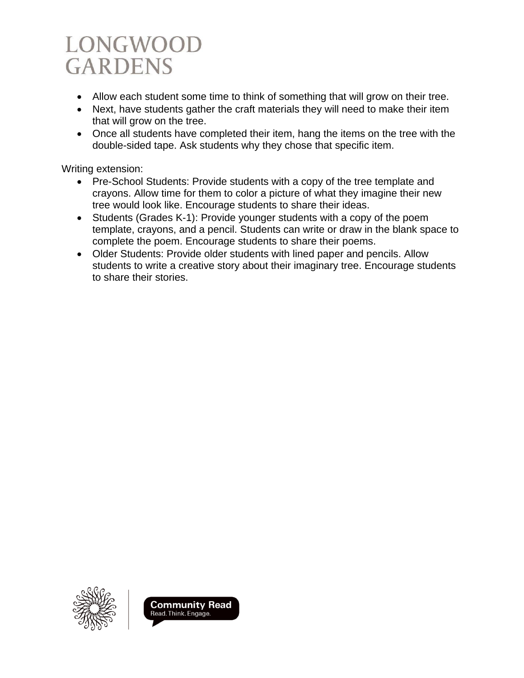- Allow each student some time to think of something that will grow on their tree.
- Next, have students gather the craft materials they will need to make their item that will grow on the tree.
- Once all students have completed their item, hang the items on the tree with the double-sided tape. Ask students why they chose that specific item.

Writing extension:

- Pre-School Students: Provide students with a copy of the tree template and crayons. Allow time for them to color a picture of what they imagine their new tree would look like. Encourage students to share their ideas.
- Students (Grades K-1): Provide younger students with a copy of the poem template, crayons, and a pencil. Students can write or draw in the blank space to complete the poem. Encourage students to share their poems.
- Older Students: Provide older students with lined paper and pencils. Allow students to write a creative story about their imaginary tree. Encourage students to share their stories.



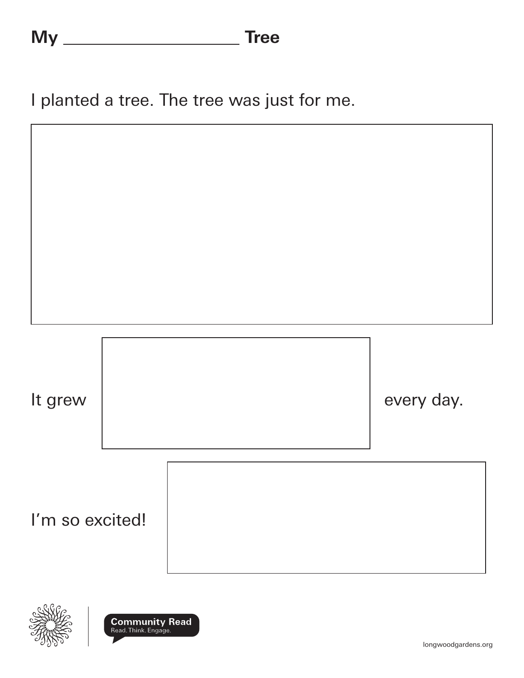I planted a tree. The tree was just for me.





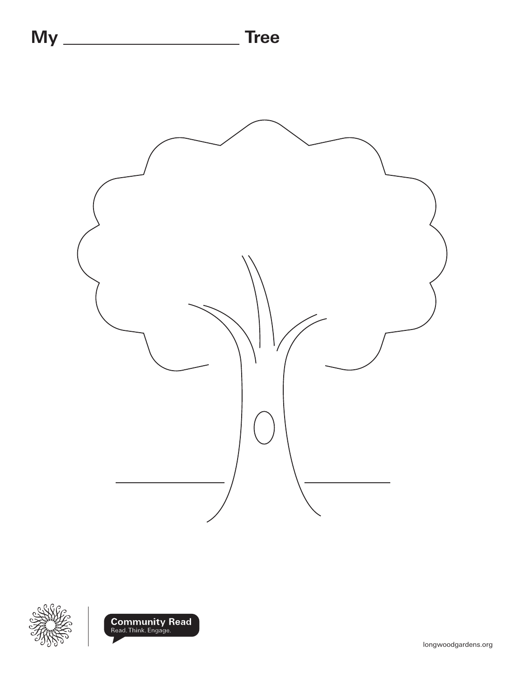



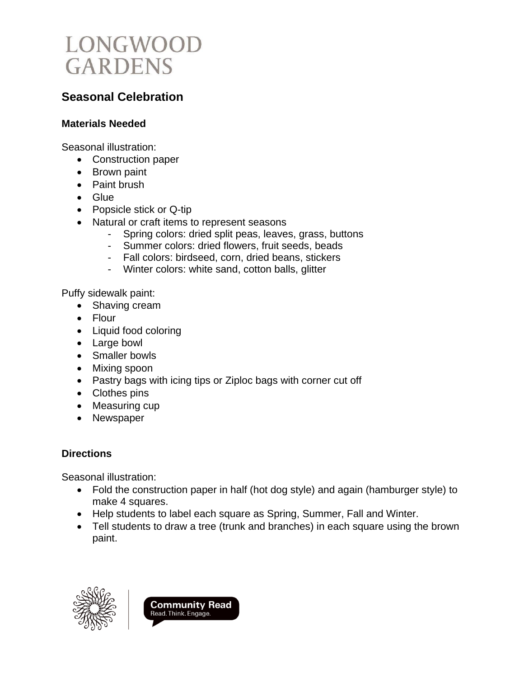

### **Seasonal Celebration**

#### **Materials Needed**

Seasonal illustration:

- Construction paper
- Brown paint
- Paint brush
- Glue
- Popsicle stick or Q-tip
- Natural or craft items to represent seasons
	- Spring colors: dried split peas, leaves, grass, buttons
	- Summer colors: dried flowers, fruit seeds, beads
	- Fall colors: birdseed, corn, dried beans, stickers
	- Winter colors: white sand, cotton balls, glitter

Puffy sidewalk paint:

- Shaving cream
- Flour
- Liquid food coloring
- Large bowl
- Smaller bowls
- Mixing spoon
- Pastry bags with icing tips or Ziploc bags with corner cut off
- Clothes pins
- Measuring cup
- Newspaper

### **Directions**

Seasonal illustration:

- Fold the construction paper in half (hot dog style) and again (hamburger style) to make 4 squares.
- Help students to label each square as Spring, Summer, Fall and Winter.
- Tell students to draw a tree (trunk and branches) in each square using the brown paint.



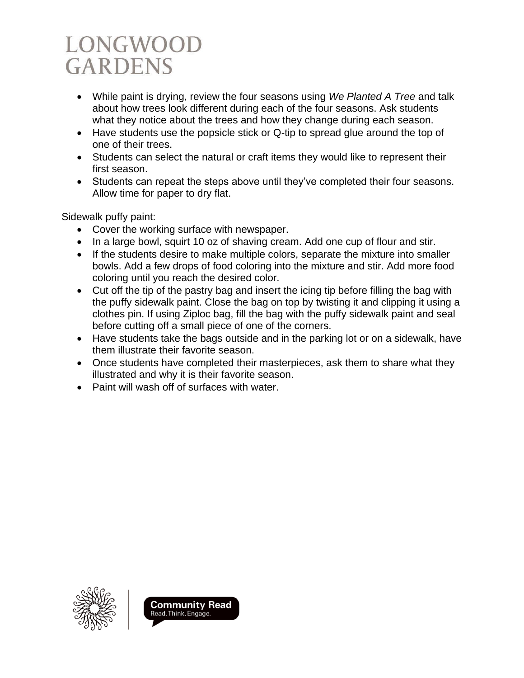- While paint is drying, review the four seasons using *We Planted A Tree* and talk about how trees look different during each of the four seasons. Ask students what they notice about the trees and how they change during each season.
- Have students use the popsicle stick or Q-tip to spread glue around the top of one of their trees.
- Students can select the natural or craft items they would like to represent their first season.
- Students can repeat the steps above until they've completed their four seasons. Allow time for paper to dry flat.

Sidewalk puffy paint:

- Cover the working surface with newspaper.
- In a large bowl, squirt 10 oz of shaving cream. Add one cup of flour and stir.
- If the students desire to make multiple colors, separate the mixture into smaller bowls. Add a few drops of food coloring into the mixture and stir. Add more food coloring until you reach the desired color.
- Cut off the tip of the pastry bag and insert the icing tip before filling the bag with the puffy sidewalk paint. Close the bag on top by twisting it and clipping it using a clothes pin. If using Ziploc bag, fill the bag with the puffy sidewalk paint and seal before cutting off a small piece of one of the corners.
- Have students take the bags outside and in the parking lot or on a sidewalk, have them illustrate their favorite season.
- Once students have completed their masterpieces, ask them to share what they illustrated and why it is their favorite season.
- Paint will wash off of surfaces with water.